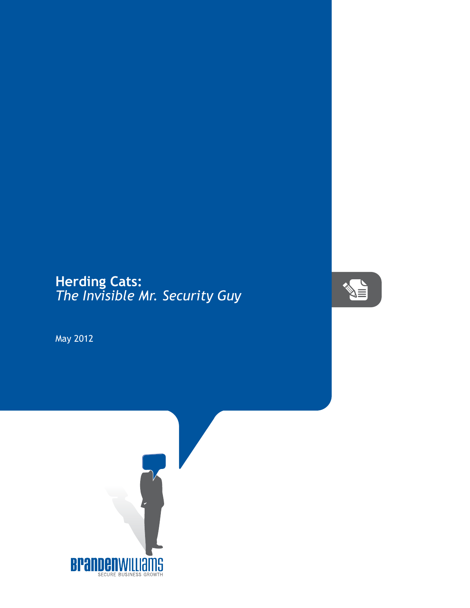## **Herding Cats:** *The Invisible Mr. Security Guy*



May 2012

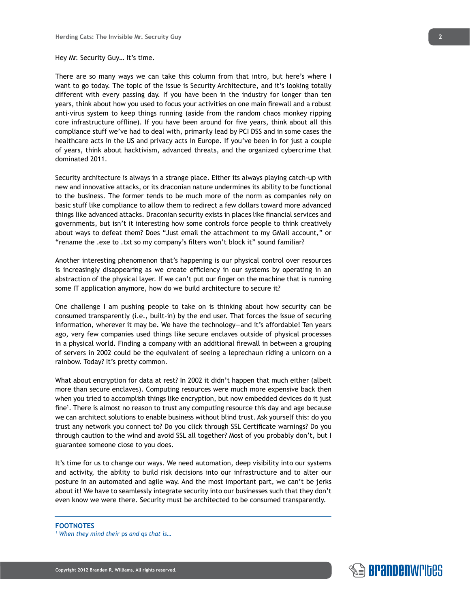## Hey Mr. Security Guy… It's time.

There are so many ways we can take this column from that intro, but here's where I want to go today. The topic of the issue is Security Architecture, and it's looking totally different with every passing day. If you have been in the industry for longer than ten years, think about how you used to focus your activities on one main firewall and a robust anti-virus system to keep things running (aside from the random chaos monkey ripping core infrastructure offline). If you have been around for five years, think about all this compliance stuff we've had to deal with, primarily lead by PCI DSS and in some cases the healthcare acts in the US and privacy acts in Europe. If you've been in for just a couple of years, think about hacktivism, advanced threats, and the organized cybercrime that dominated 2011.

Security architecture is always in a strange place. Either its always playing catch-up with new and innovative attacks, or its draconian nature undermines its ability to be functional to the business. The former tends to be much more of the norm as companies rely on basic stuff like compliance to allow them to redirect a few dollars toward more advanced things like advanced attacks. Draconian security exists in places like financial services and governments, but isn't it interesting how some controls force people to think creatively about ways to defeat them? Does "Just email the attachment to my GMail account," or "rename the .exe to .txt so my company's filters won't block it" sound familiar?

Another interesting phenomenon that's happening is our physical control over resources is increasingly disappearing as we create efficiency in our systems by operating in an abstraction of the physical layer. If we can't put our finger on the machine that is running some IT application anymore, how do we build architecture to secure it?

One challenge I am pushing people to take on is thinking about how security can be consumed transparently (i.e., built-in) by the end user. That forces the issue of securing information, wherever it may be. We have the technology—and it's affordable! Ten years ago, very few companies used things like secure enclaves outside of physical processes in a physical world. Finding a company with an additional firewall in between a grouping of servers in 2002 could be the equivalent of seeing a leprechaun riding a unicorn on a rainbow. Today? It's pretty common.

What about encryption for data at rest? In 2002 it didn't happen that much either (albeit more than secure enclaves). Computing resources were much more expensive back then when you tried to accomplish things like encryption, but now embedded devices do it just fine<sup>1</sup> . There is almost no reason to trust any computing resource this day and age because we can architect solutions to enable business without blind trust. Ask yourself this: do you trust any network you connect to? Do you click through SSL Certificate warnings? Do you through caution to the wind and avoid SSL all together? Most of you probably don't, but I guarantee someone close to you does.

It's time for us to change our ways. We need automation, deep visibility into our systems and activity, the ability to build risk decisions into our infrastructure and to alter our posture in an automated and agile way. And the most important part, we can't be jerks about it! We have to seamlessly integrate security into our businesses such that they don't even know we were there. Security must be architected to be consumed transparently.

## **FOOTNOTES**

*1 When they mind their* ps *and* qs *that is…*

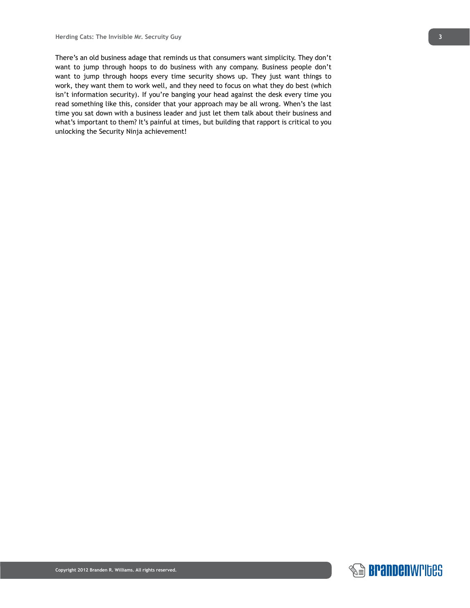There's an old business adage that reminds us that consumers want simplicity. They don't want to jump through hoops to do business with any company. Business people don't want to jump through hoops every time security shows up. They just want things to work, they want them to work well, and they need to focus on what they do best (which isn't information security). If you're banging your head against the desk every time you read something like this, consider that your approach may be all wrong. When's the last time you sat down with a business leader and just let them talk about their business and what's important to them? It's painful at times, but building that rapport is critical to you unlocking the Security Ninja achievement!